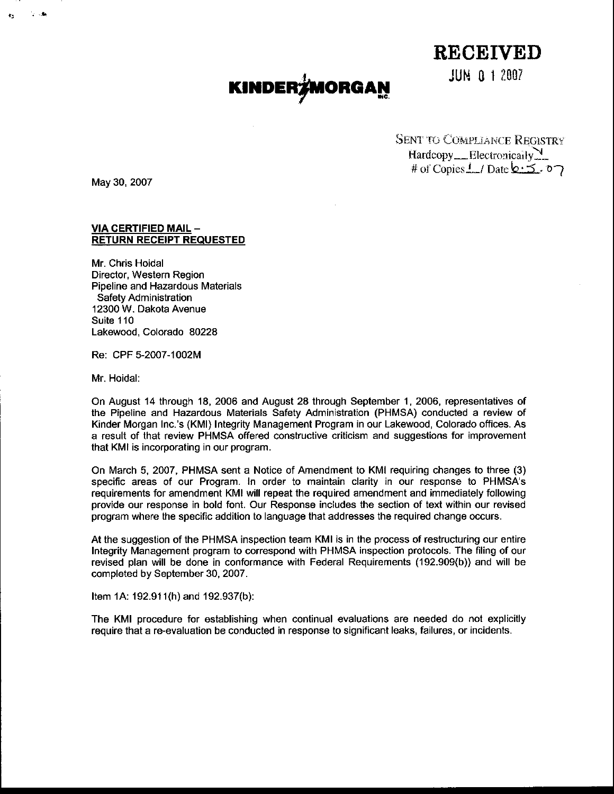## $\mathbf{KINDER}$ /MORGAN JUN 0 1 2007

RECEIVED

SENT TO COMPLIANCE REGISTRY Hardcopy \_\_ Electronically # of Copies  $\frac{1}{2}$  / Date  $6.5.$  o

May 30, 2007

#### VIA CERTIFIED MAIL -RETURN RECEIPT REQUESTED

Mr. Chris Hoidal Director, Western Region Pioeline and Hazardous Materials Safety Administration 12300 W. Dakota Avenue Suite 110 Lakewood, Colorado 80228

Re: CPF 5-2007-1002M

Mr. Hoidal:

On August 14 through 18, 2006 and August 28 through September 1, 2006, represenlatives of the Pipeline and Hazardous Materials Safety Administration (PHMSA) conducted a review of Kinder Morgan Inc.'s (KMI) Integrity Management Program in our Lakewood, Colorado offices. As a result of that review PHMSA offered constructive criticism and suggestions for improvement that KMI is incorporating in our program.

On March 5, 2007, PHMSA sent a Notice of Amendment to KMI requiring changes to three (3) specific areas of our Program. In order to maintain clarity in our response to PHMSA's requirements for amendment KMI will repeat the required amendment and immediately following provide our response in bold font. Our Response includes the section of text within our revised program where the specific addition to language that addresses the required change occurs.

At the suggestion of the PHMSA inspection team KMI is in the process of restructuring our entire Integrity Management program to correspond with PHMSA inspection protocols. The filing of our revised plan will be done in conformance with Federal Requirements (192.909(b)) and will be completed by September 30, 2007.

Item 1A: 192.911(h) and 192.937(b):

The KMI procedure for establishing when continual evaluations are needed do not explicitly require that a re-evaluation be conducted in response to significant leaks, failures, or incidenls.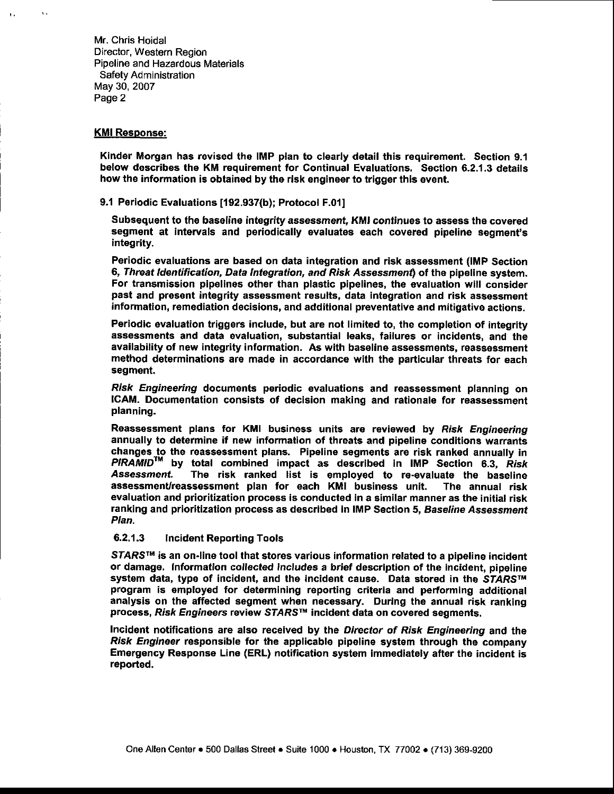Mr. Chris Hoidal Director, Western Region Pipeline and Hazardous Materials Safety Administration May 30, 2007 Page 2

#### KMI Response:

 $\mathbf{v}_\mathrm{A}$ 

Kinder Morgan has revised the IMP plan to clearly detail this requirement. Section 9.1 below describes the KM requirement for Continual Evaluations. Section 6.2.1.3 details how the information is obtained by the risk engineer to trigger this event.

9.1 Periodic Evaluations [192.937(b); Protocol F.011

Subsequent to the baseline integrity assessment, KMI continues to assess the covered segment at intervals and periodically evaluates each covered pipeline segment's integrity.

Periodic evaluations are based on data integration and risk assessment (IMP Section 6, Threat Identification, Data Integration, and Risk Assessment) of the pipeline system. For transmission pipelines other than plastic pipelines, the evaluation will consider past and presont integrity assessment results, data intogration and risk assessment information, remediation decisions, and additional preventative and mitigative actions.

Periodic evaluation triggers include, but are not limited to, the completion of integrity assessments and data evaluation, substantial leaks, failures or incidents, and the availability of new integrity information. As with baseline assessments, reassessment method determinations are made in accordance with the particular threats for each segment.

Risk Engineering documents periodic evaluations and reassessment planning on ICAM. Documontation consists of decision making and rationale for reassessment planning.

Reassessment plans for KMI business units are reviewed by Risk Engineering annually to determine if new information of threats and pipeline conditions warrants changes to the reassessment plans. Pipeline segments are risk ranked annually in  $\mathsf{\mathit{PIRAMID}^{TM}}$  by total combined impact as described in IMP Section 6.3, Risk<br>Assessment. The risk ranked list is emploved to re-evaluate the baseline The risk ranked list is employed to re-evaluate the baseline assessment/reassessment plan for each KMI business unit. The annual risk evaluation and prioritization process is conducted in a similar manner as the initial risk ranking and prioritization process as described in IMP Section 5, Baseline Assessment PIan.

#### 6.2.1.3 lncident Reporting Tools

STARS™ is an on-line tool that stores various information related to a pipeline incident or damage. Information collected includes a brief description of the incident, pipeline system data, type of incident, and the incident cause. Data stored in the STARS™ program is employed tor determining reporting criteria and performing additional analysis on the affected segment when necessary. During the annual risk ranking process, Risk Engineers review STARS™ incident data on covered segments.

Incident notifications are also received by the Director of Risk Engineering and the Risk Engineer responsible for the applicable pipeline system through the company Emergency Response Line (ERL) notification system immediately after the incidont is reported.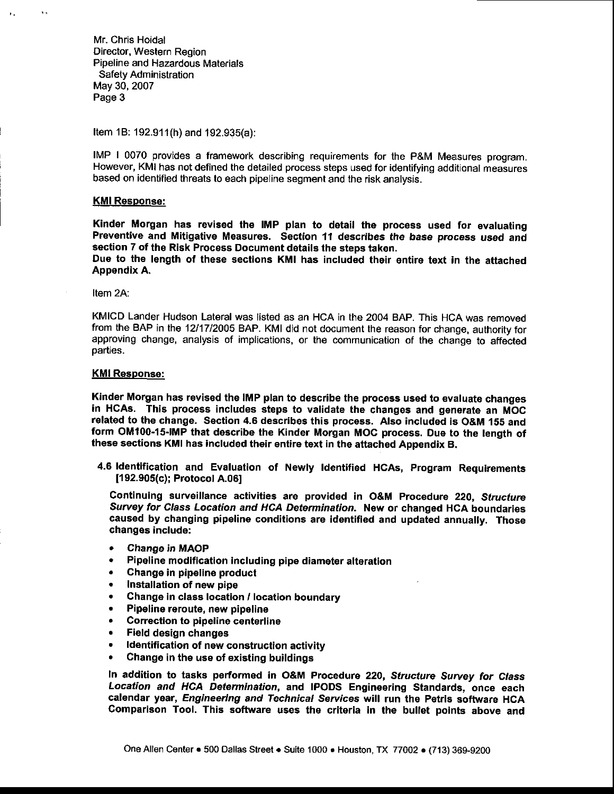Mr. Chris Hoidal Director, Western Region Pipeline and Hazardous Materials Safety Administration May 30, 2007 Page 3

Item 1B: 192.91(h) and 192.935(a):

IMP | 0070 provides a framework describing requirements for the P&M Measures program. However, KMI has not defined the detailed process steps used for identifying additional meaaures based on identified threats to each pipeline segment and the risk analysis.

#### KMI Resoonse:

 $\mathbf{A}$ 

Kinder Morgan has revised the IMP plan to detail the process used for evaluating Preventive and Mitigative Measures. Section 11 describes the base process used and section 7 of the Risk Process Document details the steps taken.

Due to the length of these sections KMI has included their entire text in the attached Appendix A.

Item 2A:

KMICD Lander Hudson Lateral was listed as an HCA in the 2004 BAP. This HCA was removed from the BAP in the 12/17/2005 BAP. KMI did not document the reason for change, authority for approving change, analysis of implications, or the communication of the change to affected parties.

#### KMI Response:

Kinder Morgan has revised the IMP plan to describe the process used to evaluate changes in HCAS. This process includes steps to validate the changes and generate an MOC related to the change. Section 4.6 describes this process. Also included is O&M 155 and form OM100-15-lMP that describe the Kinder Morgan MOC procesa. Due to the tength of these sections KMI has included their entire text in the attached Appendix B.

4.6 ldentification and Evaluation of Newly ldentified HCAS, program Requirements 11 92.905(c); Protocol A.061

Continuing surveillance activities are provided in O&M Procedure 220, Structure Survey for Class Location and HCA Determination. New or changed HCA boundaries caused by changing pipeline conditions are identified and updated annually. Those changes include:

- o Change in MAOP
- ' Pipeline modification including pipe diameter alteration
- . Chango in pipeline product
- . Installation of new pipe
- . Change in class location /location boundary
- . Pipeline reroute, new pipeline
- . Correction to pipeline centerline
- e Field design changes
- . ldentification of new construction activity
- . Change in the use of existing buildings

In addition to tasks performed in O&M Procedure 220, Structure Survey for Class Location and HCA Determination, and IPODS Engineering Standards, once each calendar year, Engineering and Technical Services will run the Petris software HCA Comparison Tool. This software uses the criteria in the bullet points above and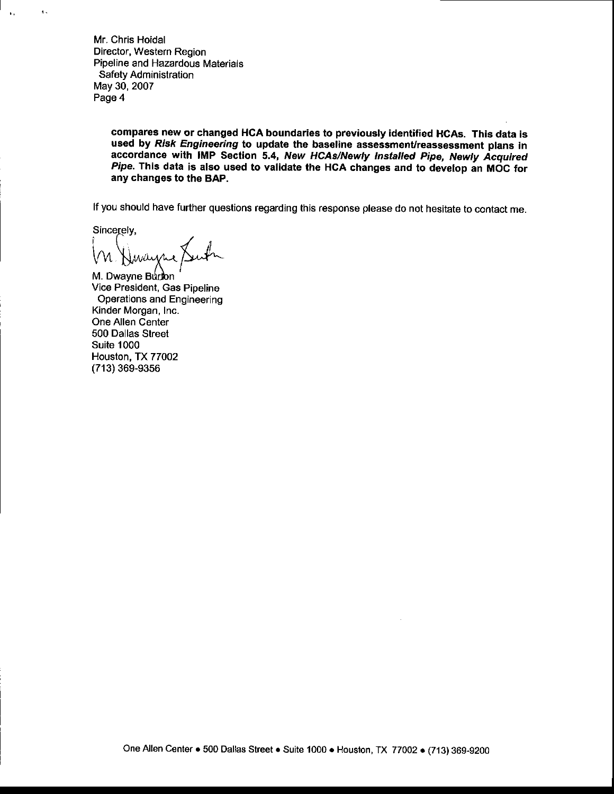Mr. Chris Hoidal Director, Western Region Pipeline and Hazardous Materials Safety Administration May 30, 2007 Page 4

> compares new or changed HCA boundaries to previously identified HCA8. This data is used by Risk Engineering to update the baseline assessment/reassessment plans in accordance with IMP Section 5.4, New HCAs/Newly Installed Pipe, Newly Acquired Pipe. This data is also used to validate the HCA changes and to develop an MOC for any changes to the BAP.

lf you should have further questions regarding this response please do not hesitate to contact me.

Sincerely.

 $5,$ 

M. Dwayne Burton Vice President, Gas Pipeline **Operations and Engineering** Kinder Morgan, Inc. One Allen Center 500 Dallas Street Suite 1000 Houston, TX 77OO2 (713) 369-93s6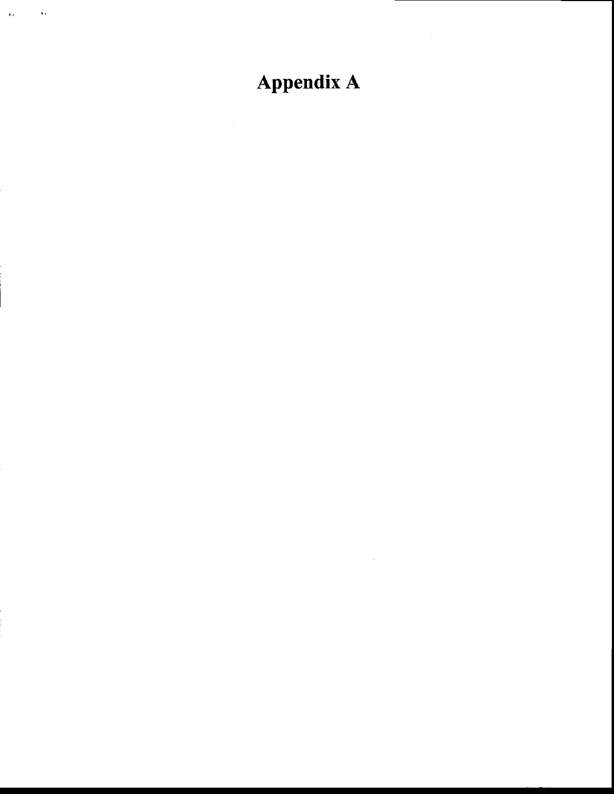### Appendix A

 $\lambda$ 

 $\bar{\mathbf{r}}$  ,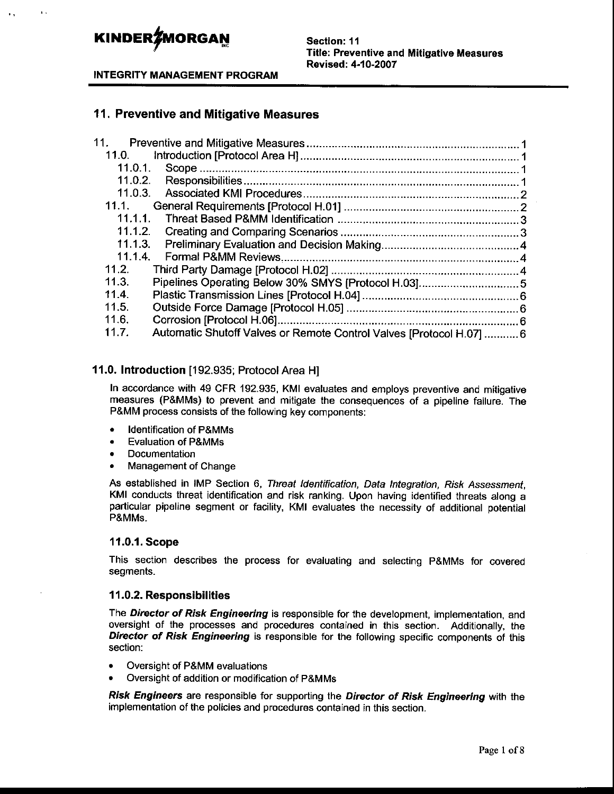$\mathbf{r}$ 

Section: 11 Title: Preventive and Mitigative Measures Revised: 4-10-2007

INTEGRITY MANAGEMENT PROGRAM

#### 11 . Preventive and Mitigative Measures

| 11.               |                                                                      |  |
|-------------------|----------------------------------------------------------------------|--|
| 11.0.             |                                                                      |  |
| 11.0.1.           |                                                                      |  |
| 11.0.2.           |                                                                      |  |
| 11.0.3.           |                                                                      |  |
| 11.1              |                                                                      |  |
| 11.1.1.           |                                                                      |  |
| 11.1.2.           |                                                                      |  |
| 11.1.3.           |                                                                      |  |
| 11.1.4.           |                                                                      |  |
| 11.2 <sub>1</sub> |                                                                      |  |
| 11.3.             |                                                                      |  |
| 11.4              |                                                                      |  |
| 11.5.             |                                                                      |  |
| 11.6.             |                                                                      |  |
| 11.7.             | Automatic Shutoff Valves or Remote Control Valves [Protocol H.07]  6 |  |
|                   |                                                                      |  |

#### 1 1.0. Introduction [192.935; Protocol Area H]

In accordance with 49 CFR 192.935, KMI evaluates and employs preventive and mitigative measures (P&MMS) to prevent and mitigate the consequences of a pipeline failure. The P&MM process consists of the following key components:

- . ldentification of P&MMS
- Evaluation of P&MMs
- . Documentalion
- Management of Change

As established in IMP Section 6, Threat Identification, Data Integration, Risk Assessment, KMI conducts threat identification and risk ranking. Upon having identified threats along a particular pipellne segment or facility, KMI evaluates the necessity of additional potential P&MMs.

#### 11.0.1. Scope

This section describes the process for evaluating and selecting P&MMS for covered segments.

#### 11.0.2. Responsibilities

The Director of Risk Engineering is responsible for the development, implementation, and oversight of the processes and procedures contained in this section. Additionally, the Director of Risk Engineering is responsible for the following specific components of this section:

- Oversight of P&MM evaluations
- . Oversight of addition or modification of P&MMs

Risk Engineers are responsible for supporting the Director of Risk Engineering with the implementation of the policies and procedures contained in this section.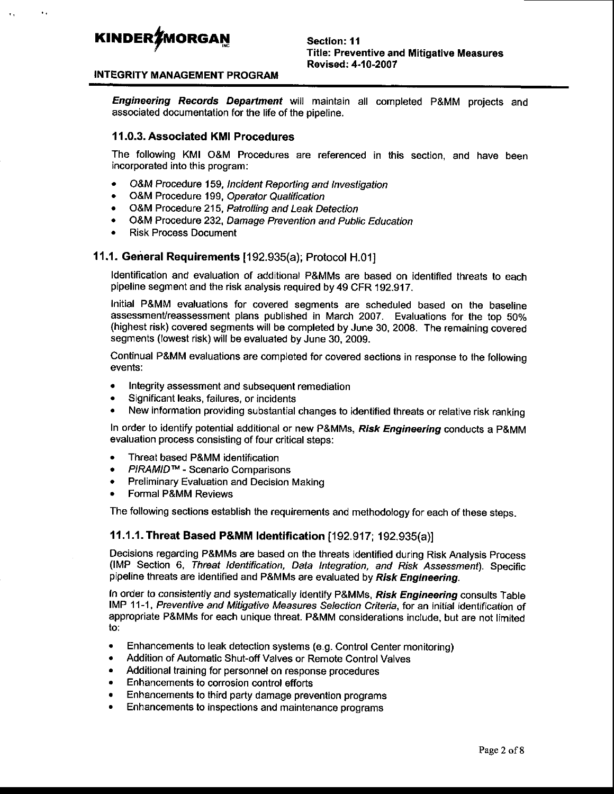#### INTEGRITY MANAGEMENT PROGRAM

Engineering Records Department will maintain all completed P&MM projects and associated documentation for the life of the pipeline.

#### 11.0.3. Associated KMI Procedures

The following KMI O&M Procedures are referenced in this section, and have been incorporated into this program:

- . O&M Procedure 159, lncident Reporting and lnvestigation
- O&M Procedure 199, Operator Qualification
- O&M Procedure 215, Patrolling and Leak Detection
- o O&M Procedure 232, Damage Prevention and Public Education
- . Risk Process Document

#### 11.1. General Requirements [192.935(a); Protocol H.01]

ldentification and evaluation of additional P&MMS are based on identified lhreats to each pipeline segment and the risk analysis required by 49 CFR 192.917.

Initial P&MM evaluations for covered segments are scheduled based on the baseline assessment/reassessment plans published in March 2007. Evaluations for the top 50% (highest risk) covered segments will be completed by June 30,2008. The remaining covered segments (lowest risk) will be evaluated by June 30, 2009.

Continual P&MM evaluations are completed for covered sections in response to the following evenls:

- . lntegrity assessment and subsequent remediation
- . Significant leaks, failures, or incidents
- New information providing substantial changes to identified threats or relative risk ranking

In order to identify potential additional or new P&MMs, Risk Engineering conducts a P&MM evaluation process consisting of four critical steps:

- Threat based P&MM identification
- PIRAMID™ Scenario Comparisons
- . Preliminary Evaluation and Decision Making
- . Formal P&MM Reviews

The following sections establish the requirements and methodology for each of these steps.

#### 11.1.1. Threat Based P&MM Identification [192.917; 192.935(a)]

Decisions regarding P&MMs are based on the threats identified during Risk Analysis Process (fMP Section 6, Threat ldentification, Data lntegration, and Risk Assessmenf). Specific pipeline threats are identified and P&MMs are evaluated by Risk Engineering.

In order to consistently and systematically identify P&MMs, Risk Engineering consults Table IMP 11-1, Preventive and Mitigative Measures Selection Criteria, for an initial identification of appropriate P&MMs for each unique threat. P&MM considerations include, but are not limited to:

- $\bullet$  Enhancements to leak detection systems (e.g. Control Center monitoring)
- Addition of Automatic Shut-off Valves or Remote Control Valves
- . Additional training for personnel on response procedures
- Enhancements to corrosion control efforts
- . Enhancements to third party damage prevention programs
- Enhancements to inspections and maintenance programs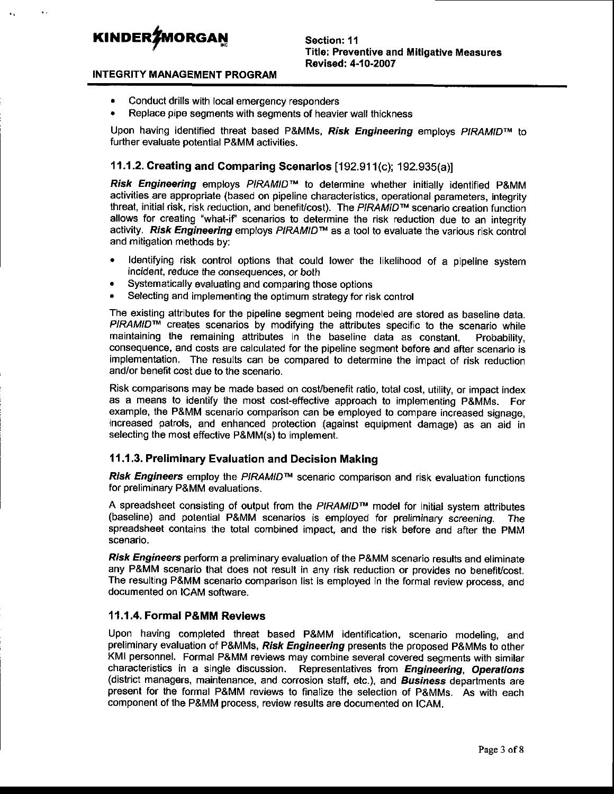#### INTEGRITY MANAGEMENT PROGRAM

- . Conduct drills with local emergency responders
- . Replace pipe segments with segments of heavier wall thickness

Upon having identified threat based P&MMs, Risk Engineering employs PIRAMID<sup>™</sup> to further evaluate potential P&MM activities.

#### 1 1.1.2. Creating and comparing Scenarios [192.91 1(c); 1 92.935(a)]

Risk Engineering employs  $PIRAMID^M$  to determine whether initially identified P&MM activities are appropriate (based on pipeline characteristics, operational parameters, integrity threat, initial risk, risk reduction, and benefit/cost). The PIRAMID<sup>™</sup> scenario creation function allows for creating "what-if' scenarios to determine the risk reduction due to an integrity activity. Risk Engineering employs PIRAMID™ as a tool to evaluate the various risk control and mitigation methods by:

- . ldentifying risk control options that could lower the likelihood of a pipeline system incident, reduce the consequences, or both
- . Systematically evaluating and comparing those options
- . Selecting and implementing the optimum strategy for risk control

The existing attributes for the pipeline segment being modeled are stored as baseline data. PIRAMID™ creates scenarios by modifying the attributes specific to the scenario while maintaining the remaining attributes in the baseline data as constant. Probability, consequence, and costs are calculated for the pipeline segment before and after scenario is implementation. The results can be compared to determine the impact of risk reduction and/or benefit cost due to the scenario.

Risk comparisons may be made based on cost/benefit ratio, total cost, utility, or impact index as a means to identify the most cost-effective approach to implementing p&MMs. For example, the P&MM scenario comparison can be employed to compare increased signage, increased patrols, and enhanced protection (against equipment damage) as an aid in selecting the most effective P&MM(s) to implement.

#### 11 .1 .3. Preliminary Evaluation and Decision Making

Risk Engineers employ the PIRAMID<sup>TM</sup> scenario comparison and risk evaluation functions for preliminary P&MM evaluations.

A spreadsheet consisting of output from the PIRAMID™ model for initial system attributes (baseline) and potential P&MM scenarios is employed for preliminary screening. The spreadsheet contains the total combined impact, and the risk before and after the pMM scenario.

Risk Engineers perform a preliminary evaluation of the P&MM scenario results and eliminate any P&MM scenario that does not result in any risk reduction or provides no benefit/cost. The resulting P&MM scenario comparison list is employed in the formal review process, and documented on ICAM software.

#### 11.1.4. Formal P&MM Reviews

Upon having completed threat based P&MM identification, scenario modeling, and preliminary evaluation of P&MMs, Risk Engineering presents the proposed P&MMs to other KMI personnel. Formal P&MM reviews may combine several covered segments with similar characteristics in a single discussion. Representatives from Engineering, Operations (district managers, maintenance, and corrosion staff, etc.), and **Business** departments are present for the formal P&MM reviews to finalize the selection of P&MMS. As with each component of the P&MM process, review results are documented on ICAM.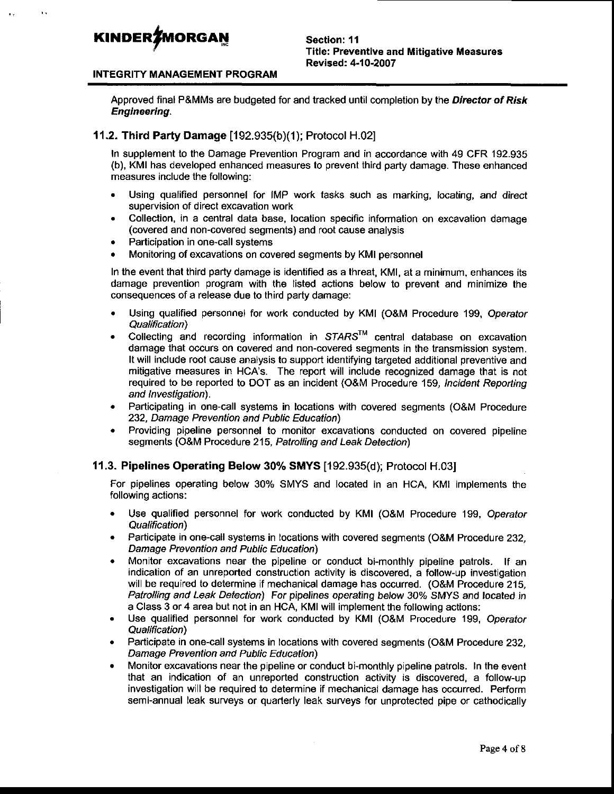#### INTEGRITY MANAGEMENT PROGRAM

Approved final P&MMs are budgeted for and tracked until completion by the Director of Risk Engineering.

#### **11.2. Third Party Damage**  $[192.935(b)(1)]$ ; Protocol H.02]

In supplement to the Damage Prevention Program and in accordance with 49 CFR 192.935 (b), KMI has developed enhanced measures to prevent third party damage. These enhanced measures include the following:

- . Using qualified personnel for IMP work tasks such as marking, locating, and direct supervision of direct excavation work
- . Collection, in a central data base, location specific information on excavation damage (covered and non-covered segments) and root cause analysis
- Participation in one-call systems
- . Monitoring of excavations on covered segments by KMI personnel

In the event that third party damage is identified as a threat, KMI, at a minimum, enhances its damage prevention program with the listed actions below to prevent and minimize the consequences of a release due to third party damage:

- . Using qualified personnel for work conducted by KMI (O&M Procedure 199, Operator Qualification)
- . Collecting and recording information in SIARSTM central database on excavation damage that occurs on covered and non-covered segments in the transmission system. It will include root cause analysis to support identifying targeted additional preventive and mitigative measures in HCA's. The report will include recognized damage that is not required to be reported to DOT as an incident (O&M Procedure 159, lncident Repofting and *Investigation*).
- . Participating in one-call systems in locations with covered segments (O&M Procedure 232, Damage Prevention and Public Education)
- . Providing pipeline personnel to monitor excavations conducted on covered pipeline segments (O&M Procedure 215, Patrolling and Leak Detection)

#### 11.3. Pipelines Operating Below 30% SMYS [192.935(d); Protocol H.03]

For pipelines operating below 30% SMYS and located in an HcA, KMI implements the following actions:

- . Use qualified personnel for work conducted by KMI (O&M Procedure 199, Operator Qualification\
- . Participate in one-call systems in locations with covered segments (O&M Procedure 232, Damage Prevention and Public Education)
- Monitor excavations near the pipeline or conduct bi-monthly pipeline patrols. If an indication of an unreported construction activity is discovered, a follow-up investigation will be required to determine if mechanical damage has occurred. (O&M Procedure 215, Patrolling and Leak Detection) For pipelines operating below 30% SMYS and located in a Class 3 or 4 area but not in an HCA, KMI will implement the following actions:
- . Use qualified personnel for work conducted by KMI (O&M Procedure 199, Operator Qualification)
- . Participate in one-call systems in locations with covered segments (O&M Procedure 232, Damage Prevention and Public Education)
- . Monitor excavations near the pipeline or conduct bi-monthly pipeline patrols. In the event that an indication of an unreported construction activity is discovered, a follow-up investigation will be required to determine if mechanical damage has occurred. Perform semi-annual leak surveys or quarterly leak surveys for unprotected pipe or cathodically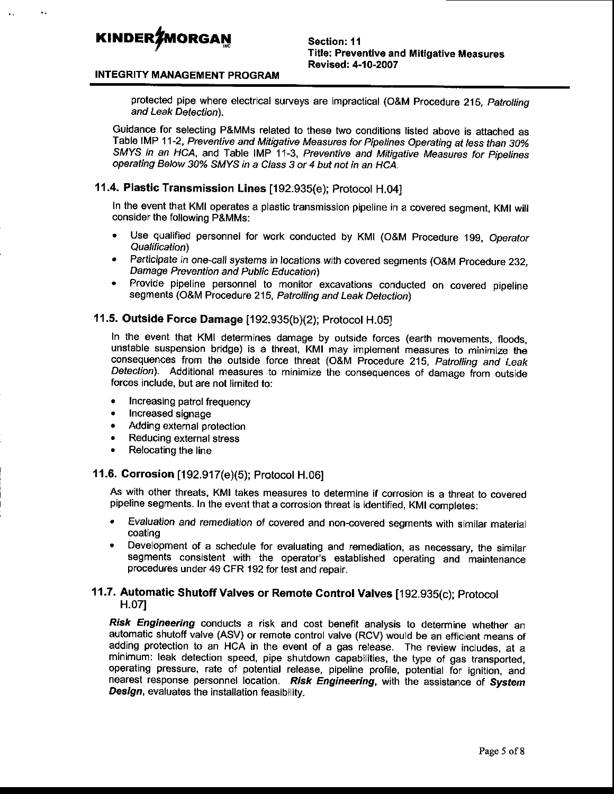#### INTEGRITY MANAGEMENT PROGRAM

protected pipe where electrical surveys are impractical (O&M Procedure 215, Patrolling and Leak Detection).

Guidance for selecting P&MMS related to these two conditions listed above is attached as Table IMP 11-2, Preventive and Mitigative Measures for Pipelines Operating at less than 30% SMYS in an HCA, and Table IMP 11-3, Preventive and Mitigative Measures for Pipelines operating Below 30% SMYS in a Class 3 or 4 but not in an HCA.

#### 11.4. Plastic Transmission Lines [192.935(e); Protocol H.04]

In lhe event that KMI operates a plastic transmission pipeline in a covered segment, KMI wih consider the following P&MMs:

- Use qualified personnel for work conducted by KMI (O&M Procedure 199, Operator Qualification)
- Participate in one-call systems in locations with covered segments (O&M Procedure 232, Damage Prevention and Public Education)
- Provide pipeline personnel to monitor excavations conducted on covered pipeline segments (O&M Procedure 215, Patrolling and Leak Detection)

#### **11.5. Outside Force Damage** [192.935(b)(2); Protocol H.05]

In the event that KMI determines damage by outside forces (earth movements, floods, unstable suspension bridge) is a threat, KMI may implement measures to minimize the consequences from the outside force threat (O&M Procedure 215, Patrolling and Leak Detection). Additional measures to minimize the consequences of damage from outside forces include, but are not limited to:

- . Increasing patrol frequency
- Increased signage
- Adding external protection
- . Reducing external stress
- . Relocating the line

#### 11.6. Corrosion [192.917(e)(5); Protocol H.06]

As with other threats, KMI takes measures to determine if corrosion is a threat to covered pipeline segments. In the event that a corrosion threat is identified, KMI completes:

- Evaluation and remediation of covered and non-covered segments with similar material coating
- . Development of a schedule for evaluating and remediation, as necessary, the similar segments consistent with the operator's established operating and maintenance procedures under 49 CFR 192 for test and repair.

#### 11.7. Automatic Shutoff Valves or Remote Control Valves [192.935(c); protocol H.07I

Risk Engineering conducts a risk and cost benefit analysis to determine whether an automatic shutoff valve (ASV) or remote control valve (RCV) would be an efficient means of adding protection to an HCA in the event of a gas release. The review includes, at a minimum: leak detection speed, pipe shutdown capabilities, the type of gas transported, operating pressure, rate of potential release, pipeline profile, potential for ignition, and nearest response personnel location. Risk Engineering, with the assistance of System Design, evaluates the installation feasibility.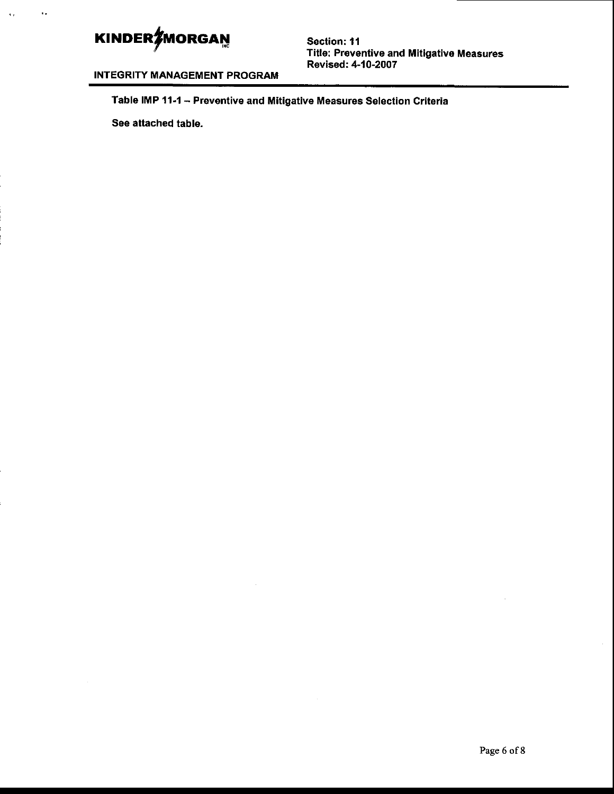$\ddot{\phantom{a}}$ 

Section: 11 Title: Preventive and Mitigativo Measures Revised: 4-10-2OO7

INTEGRITY MANAGEMENT PROGRAM

Table IMP 11-1 - Preventive and Mitigative Measures Selection Criteria

See attached table.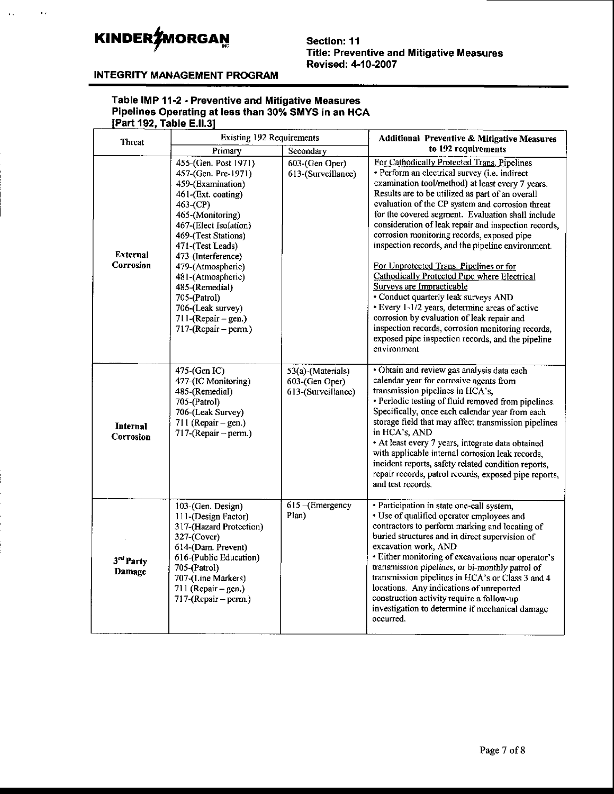$\ddot{\phantom{a}}$  ,

Section: 11 **Title: Preventive and Mitigative Measures** Revised: 4-10-2007

#### **INTEGRITY MANAGEMENT PROGRAM**

### Table IMP 11-2 - Preventive and Mitigative Measures<br>Pipelines Operating at less than 30% SMYS in an HCA [Part 192, Table E.II.3]

| <b>Threat</b>                | <b>Existing 192 Requirements</b>                                                                                                                                                                                                                                                                                                                                       | <b>Additional Preventive &amp; Mitigative Measures</b>    |                                                                                                                                                                                                                                                                                                                                                                                                                                                                                                                                                                                                                                                                                                                                                                                                                                                                          |  |
|------------------------------|------------------------------------------------------------------------------------------------------------------------------------------------------------------------------------------------------------------------------------------------------------------------------------------------------------------------------------------------------------------------|-----------------------------------------------------------|--------------------------------------------------------------------------------------------------------------------------------------------------------------------------------------------------------------------------------------------------------------------------------------------------------------------------------------------------------------------------------------------------------------------------------------------------------------------------------------------------------------------------------------------------------------------------------------------------------------------------------------------------------------------------------------------------------------------------------------------------------------------------------------------------------------------------------------------------------------------------|--|
|                              | Primary                                                                                                                                                                                                                                                                                                                                                                | Secondary                                                 | to 192 requirements                                                                                                                                                                                                                                                                                                                                                                                                                                                                                                                                                                                                                                                                                                                                                                                                                                                      |  |
| <b>External</b><br>Corrosion | 455-(Gen. Post 1971)<br>457-(Gen. Pre-1971)<br>459-(Examination)<br>461-(Ext. coating)<br>463-(CP)<br>465-(Monitoring)<br>467-(Elect Isolation)<br>469-(Test Stations)<br>471-(Test Leads)<br>473-(Interference)<br>479-(Atmospheric)<br>481-(Atmospheric)<br>485-(Remedial)<br>705-(Patrol)<br>706-(Leak survey)<br>$711$ -(Repair – gen.)<br>$717$ -(Repair – perm.) | 603-(Gen Oper)<br>613-(Surveillance)                      | For Cathodically Protected Trans. Pipelines<br>· Perform an electrical survey (i.e. indirect<br>examination tool/method) at least every 7 years.<br>Results are to be utilized as part of an overall<br>evaluation of the CP system and corrosion threat<br>for the covered segment. Evaluation shall include<br>consideration of leak repair and inspection records,<br>corrosion monitoring records, exposed pipe<br>inspection records, and the pipeline environment.<br>For Unprotected Trans. Pipelines or for<br><b>Cathodically Protected Pipe where Electrical</b><br>Surveys are Impracticable<br>· Conduct quarterly leak surveys AND<br>· Every 1-1/2 years, determine areas of active<br>corrosion by evaluation of leak repair and<br>inspection records, corrosion monitoring records,<br>exposed pipe inspection records, and the pipeline<br>environment |  |
| <b>Internal</b><br>Corrosion | 475-(Gen IC)<br>477-(IC Monitoring)<br>485-(Remedial)<br>705-(Patrol)<br>706-(Leak Survey)<br>711 (Repair $-$ gen.)<br>717-(Repair – perm.)                                                                                                                                                                                                                            | 53(a)-(Materials)<br>603-(Gen Oper)<br>613-(Surveillance) | · Obtain and review gas analysis data each<br>calendar year for corrosive agents from<br>transmission pipelines in HCA's,<br>· Periodic testing of fluid removed from pipelines.<br>Specifically, once each calendar year from each<br>storage field that may affect transmission pipelines<br>in HCA's, AND<br>• At least every 7 years, integrate data obtained<br>with applicable internal corrosion leak records,<br>incident reports, safety related condition reports,<br>repair records, patrol records, exposed pipe reports,<br>and test records.                                                                                                                                                                                                                                                                                                               |  |
| 3rd Party<br>Damage          | 103-(Gen. Design)<br>111-(Design Factor)<br>317-(Hazard Protection)<br>327-(Cover)<br>614-(Dam. Prevent)<br>616-(Public Education)<br>705-(Patrol)<br>707-(Line Markers)<br>711 (Repair – gen.)<br>717-(Repair – perm.)                                                                                                                                                | 615 - (Emergency<br>Plan)                                 | · Participation in state one-call system,<br>• Use of qualified operator employees and<br>contractors to perform marking and locating of<br>buried structures and in direct supervision of<br>excavation work, AND<br>· Either monitoring of excavations near operator's<br>transmission pipelines, or bi-monthly patrol of<br>transmission pipelines in HCA's or Class 3 and 4<br>locations. Any indications of unreported<br>construction activity require a follow-up<br>investigation to determine if mechanical damage<br>occurred.                                                                                                                                                                                                                                                                                                                                 |  |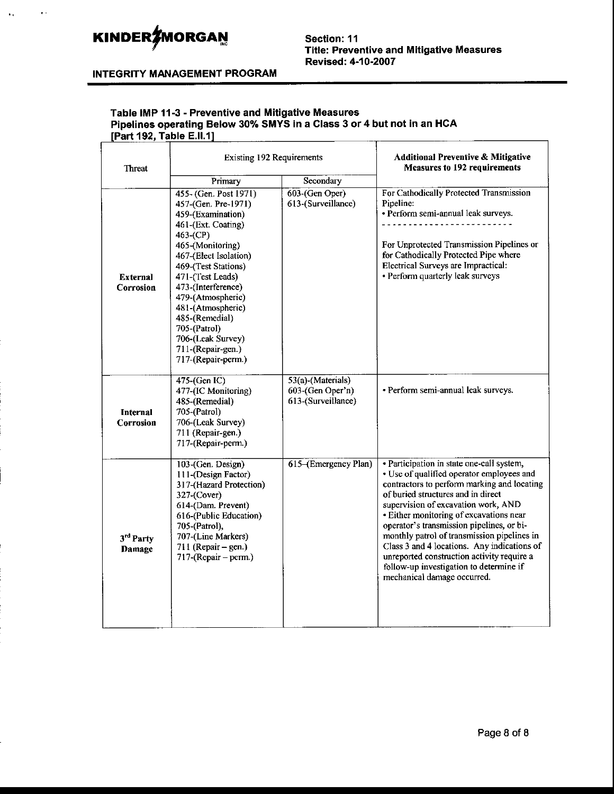#### **INTEGRITY MANAGEMENT PROGRAM**

# Table IMP 11-3 - Preventive and Mitigative Measures<br>Pipelines operating Below 30% SMYS in a Class 3 or 4 but not in an HCA<br>[Part 192, Table E.II.1]

| <b>Threat</b>                | <b>Existing 192 Requirements</b>                                                                                                                                                                                                                                                                                                                              |                                                             | <b>Additional Preventive &amp; Mitigative</b><br><b>Measures to 192 requirements</b>                                                                                                                                                                                                                                                                                                                                                                                                                                             |
|------------------------------|---------------------------------------------------------------------------------------------------------------------------------------------------------------------------------------------------------------------------------------------------------------------------------------------------------------------------------------------------------------|-------------------------------------------------------------|----------------------------------------------------------------------------------------------------------------------------------------------------------------------------------------------------------------------------------------------------------------------------------------------------------------------------------------------------------------------------------------------------------------------------------------------------------------------------------------------------------------------------------|
|                              | Primary                                                                                                                                                                                                                                                                                                                                                       | Secondary                                                   |                                                                                                                                                                                                                                                                                                                                                                                                                                                                                                                                  |
| <b>External</b><br>Corrosion | 455- (Gen. Post 1971)<br>457-(Gen. Pre-1971)<br>459-(Examination)<br>461-(Ext. Coating)<br>463-(CP)<br>465-(Monitoring)<br>467-(Elect Isolation)<br>469-(Test Stations)<br>471-(Test Leads)<br>473-(Interference)<br>479-(Atmospheric)<br>481-(Atmospheric)<br>485-(Remedial)<br>705-(Patrol)<br>706-(Leak Survey)<br>711-(Repair-gen.)<br>717-(Repair-perm.) | 603-(Gen Oper)<br>613-(Surveillance)                        | For Cathodically Protected Transmission<br>Pipeline:<br>• Perform semi-annual leak surveys.<br>.<br>For Unprotected Transmission Pipelines or<br>for Cathodically Protected Pipe where<br>Electrical Surveys are Impractical:<br>• Perform quarterly leak surveys                                                                                                                                                                                                                                                                |
| <b>Internal</b><br>Corrosion | 475-(Gen IC)<br>477-(IC Monitoring)<br>485-(Remedial)<br>705-(Patrol)<br>706-(Leak Survey)<br>711 (Repair-gen.)<br>717-(Repair-perm.)                                                                                                                                                                                                                         | 53(a)-(Materials)<br>603-(Gen Oper'n)<br>613-(Surveillance) | · Perform semi-annual leak surveys.                                                                                                                                                                                                                                                                                                                                                                                                                                                                                              |
| 3rd Party<br>Damage          | 103-(Gen. Design)<br>111-(Design Factor)<br>317-(Hazard Protection)<br>327-(Cover)<br>614-(Dam. Prevent)<br>616-(Public Education)<br>705-(Patrol),<br>707-(Line Markers)<br>711 (Repair $-$ gen.)<br>$717-(Repair-perm.)$                                                                                                                                    | 615–(Emergency Plan)                                        | · Participation in state one-call system,<br>• Use of qualified operator employees and<br>contractors to perform marking and locating<br>of buried structures and in direct<br>supervision of excavation work, AND<br>· Either monitoring of excavations near<br>operator's transmission pipelines, or bi-<br>monthly patrol of transmission pipelines in<br>Class 3 and 4 locations. Any indications of<br>unreported construction activity require a<br>follow-up investigation to determine if<br>mechanical damage occurred. |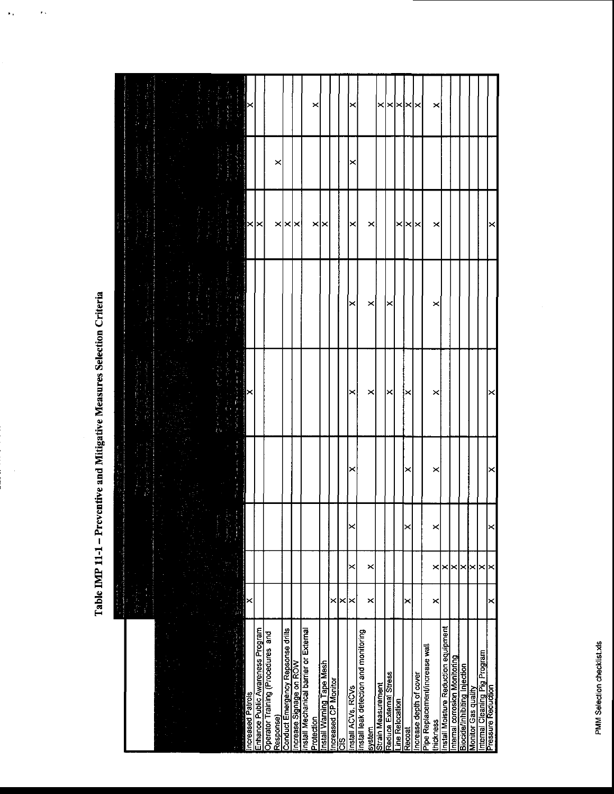Table IMP 11-1 - Preventive and Mitigative Measures Selection Criteria

 $\ddot{\phantom{0}}$ 

 $\bar{\epsilon}$  .

 $\hat{\mathbf{r}}$  ,

|                                                     | the manufacturer and |                      |   |   |   |      |   |        |
|-----------------------------------------------------|----------------------|----------------------|---|---|---|------|---|--------|
|                                                     |                      |                      |   |   |   |      |   |        |
|                                                     |                      |                      |   |   |   |      |   |        |
|                                                     |                      |                      |   |   |   |      |   |        |
|                                                     |                      |                      |   |   |   |      |   |        |
|                                                     |                      |                      |   |   |   |      |   |        |
|                                                     |                      |                      |   |   |   |      |   |        |
|                                                     |                      |                      |   |   |   |      |   |        |
|                                                     |                      |                      |   |   |   |      |   |        |
|                                                     |                      |                      |   |   |   |      |   |        |
|                                                     |                      |                      |   |   |   |      |   |        |
|                                                     |                      |                      |   |   |   |      |   |        |
|                                                     |                      |                      |   |   |   |      |   |        |
|                                                     |                      |                      |   |   |   |      |   |        |
| L                                                   |                      |                      |   |   |   |      |   |        |
|                                                     |                      |                      |   |   |   |      |   |        |
| Increased Patrols                                   | ×                    |                      |   |   |   | ×    |   |        |
| Enhance Public Awareness Program                    |                      |                      |   |   |   | ı×   |   |        |
| Operator Training (Procedures and                   |                      |                      |   |   |   |      |   |        |
|                                                     |                      |                      |   |   |   |      |   |        |
| Response)                                           |                      |                      |   |   |   |      | × |        |
| Conduct Emergency Repsonse drills                   |                      |                      |   |   |   | ×∣×  |   |        |
| Increase Signage on ROW                             |                      |                      |   |   |   | ⋉    |   |        |
| Install Mechanical barrier or External              |                      |                      |   |   |   |      |   |        |
| Protection                                          |                      |                      |   |   |   |      |   |        |
|                                                     |                      |                      |   |   |   | ×    |   | ×      |
| Install Warning Tape Mesh                           |                      |                      |   |   |   |      |   |        |
| Increased CP Monitor                                | ×                    |                      |   |   |   |      |   |        |
| ဗို                                                 | ×                    |                      |   |   |   |      |   |        |
| Install ACVs, RCVs                                  | ⋉                    | ✕                    |   | × |   |      |   |        |
| Install leak detection and monitoring               |                      |                      |   |   |   |      |   |        |
| system                                              | ×                    | $\times$             |   | × | × | ×    |   |        |
| <b>Strain Measurement</b>                           |                      |                      |   |   |   |      |   | ×      |
| Reduce External Stress                              |                      |                      |   | × | × |      |   | ✕      |
| Line Relocation                                     |                      |                      |   |   |   | ×    |   |        |
| Recoat                                              | ×                    |                      |   |   |   |      |   | l×ı×ı× |
| ncrease depth of cover                              |                      |                      |   |   |   | l×ı× |   |        |
| Pipe Replacement/increase wall                      |                      |                      |   |   |   |      |   |        |
| thickness                                           | ×                    | ×<br>×               | × | × | × | ×    |   | ×      |
| Install Moisture Reduction equipment                |                      | $\times$             |   |   |   |      |   |        |
| Internal corrosion Monitoring                       |                      | ∣×                   |   |   |   |      |   |        |
| Biocide/Inhibiting Injection                        |                      | ⋉                    |   |   |   |      |   |        |
| Montor Gas quality                                  |                      | ×                    |   |   |   |      |   |        |
| Internal Cleaning Pig Program<br>Pressure Reduction |                      | $\vert \times \vert$ |   |   |   |      |   |        |
|                                                     | ×                    | $\times$<br>$\times$ | × |   |   |      |   |        |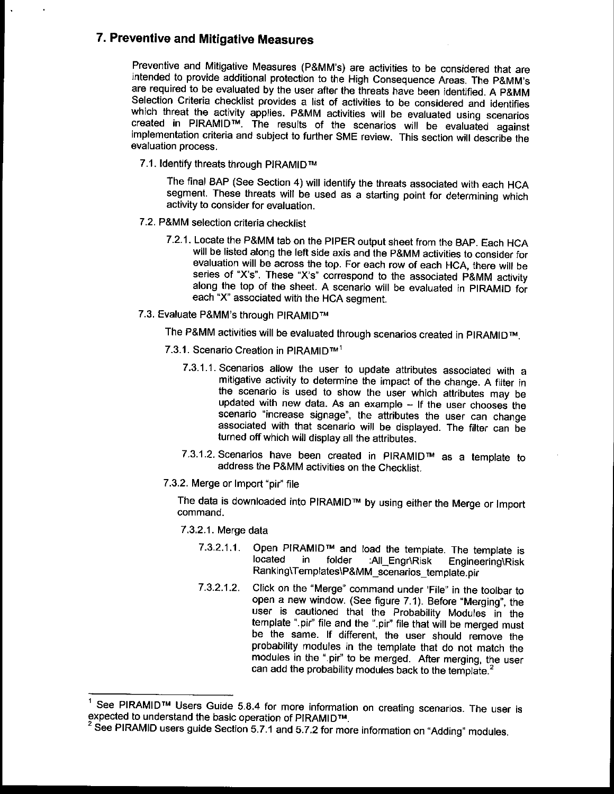#### 7. Preventive and Mitigative Measures

Preventive and Mitigative Measures (P&MM's) are activities to be considered that are intended to provide additional protection to the High Consequence Areas. The P&MM's are required to be evaluated by the user after the threats have been identified. A P&MM<br>Selection Criteria checklist provides a list of activities to be considered and identifies which threat the activity applies. P&MM activities will be evaluated using scenarios created in PIRAMID™. The results of the scenarios will be evaluated against implementation criteria and subject to further SME review. T

7.1. Identify threats through PIRAMID™

The final BAP (See Section 4) will identify the threats associated with each HCA segment. These threats will be used as a starting point for determining which activity to consider for evaluation.

- 7.2. P&MM selection criteria checklist
	- 7.2.1 . Locate the P&MM tab on the plpER output sheet from the BAp. Each HCA will be listed along the left side axis and the p&MM activities to consider for evaluation will be across the top. For each row of each HCA, there will be series of "X's". These "X's" correspond to the associated P&MM activity along the top of the sheet. A scenario will be evaluated in PIRAMID for each "x" associated with the HcA segment.
- 7.3. Evaluate P&MM's through PIRAMIDTM

The P&MM activities will be evaluated through scenarios created in plRAMlDrM.

- 7.3.1. Scenario Creation in PIRAMID™<sup>1</sup>
	- 7.3.1.1. Scenarios allow the user to update attributes associated with a mitigative activity to determine the impact of the change. A filter in the scenario is used to show the user which attributes mav be updated with new data. As an example  $-$  If the user chooses the scenario "increase signage", the attributes the user can change associated with that scenario will be displayed. The filter can be turned off which will display all the attributes.
	- 7.3.1.2. Scenarios have been created in PIRAMID™ as a template to address the p&MM activities on the Checklist.
- 7.3.2. Merge or Import "pir" file

The data is downloaded into PIRAMID™ by using either the Merge or Import command.

#### 7.3.2.1. Merge data

- 7.3.2.1.1. Open PIRAMID™ and load the template. The template is<br>located in folder :All Engr\Risk Engineering\Risk Engineering\Risk Ranking\Templates\P&MM\_scenarios\_template.pir
- 7.3.2.1.2. Click on the "Merge" command under 'File" in the toolbar to open a new window. (See figure 7.1). Before "Merging", the user is cautioned that the probability Modules in the template ".pir" file and the ".pir" file that will be merged must be the same. lf different, the user should remove the probabitity modules in the template that do not match the modules in the ".pir" to be merged. After merging, the user can add the probability modules back to the template.<sup>2</sup>

<sup>&</sup>lt;sup>1</sup> See PIRAMID™ Users Guide 5.8.4 for more information on creating scenarios. The user is<br>expected to understand the basic operation of PIRAMID™.<br><sup>2</sup> See PIRAMID users guide Section 5.7.1 and 5.7.2 for more information o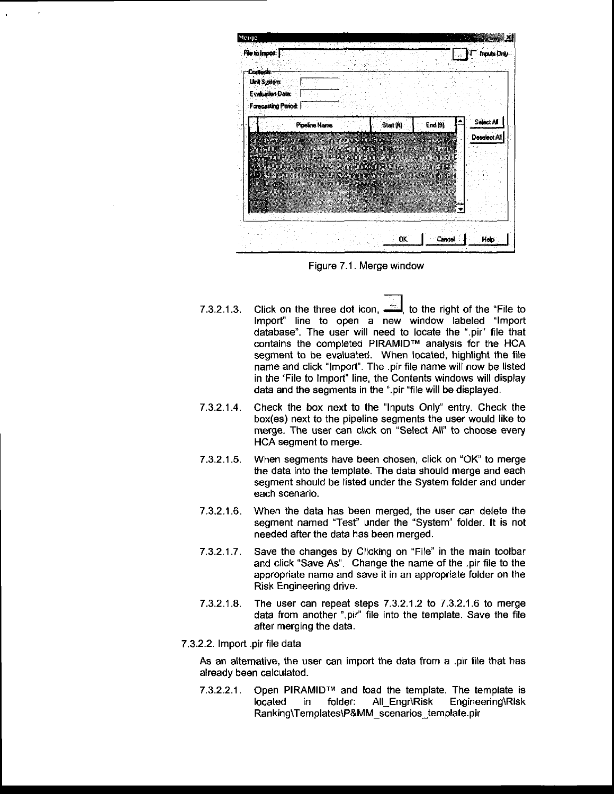

Figure 7.1. Merge window

- 7.3.2.1.3. Click on the three dot icon.  $\ddot{=}$  to the right of the "File to lmport" line to open a new window labeled "lmport database". The user will need to locate the ".pir" file that contains the completed PIRAMIDTM analysis for the HCA segment to be evaluated. When located, highlight the file name and click "lmport". The .pir file name will now be listed in the 'File to lmport" line, the Contents windows will display data and the segments in the ".pir "file will be displayed.
- 7.3.2.1.4. Check the box next to the "lnputs Only" entry. Check the box(es) next to the pipeline segments the user would like to merge. The user can click on "Select All" to choose every HCA segment to merge.
- 7.3.2.1.5. When segments have been chosen, click on "OK" to merge the data into the template. The data should merge and each segment should be listed under the System folder and under each scenario.
- 7.3.2.1.6. When the data has been merged, lhe user can delete the segment named "Test" under the "System" folder. It is not needed after the data has been merged.
- 7.3.2,1.7. Save the changes by Clicking on "File" in the main toolbar and click "Save As". Change the name of the .pir flle to the appropriate name and save it in an appropriate folder on the RisK Engineering drive.
- 7.3.2.1.8. The user can repeat steps  $7.3.2.1.2$  to  $7.3.2.1.6$  to merge data from another ".pir" file into the template. Save the file after merging the data.
- 7.3.2.2. Import .pir file data

As an alternative, the user can import the data from a .pir file that has already been calculated.

7.3.2.2.1. Open PIRAMID™ and load the template. The template is located in folder: All Engr\Risk Engineering\Risk located in folder: All\_Engr\Risk Engineering\Risk Ranking\Templates\P&MM\_scenarios\_template.pir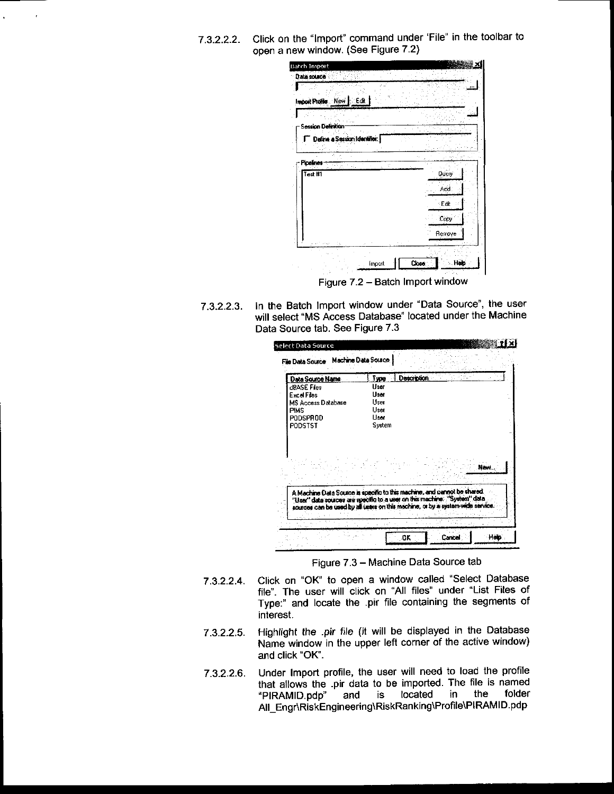7.3.2.2.2. Click on the "lmport" command under 'File" in the toolbar to open a new window. (See Figure 7 2)

| Import Profile New<br>∵Edit i |               |
|-------------------------------|---------------|
| <b>Session Definition</b>     |               |
| Define a Session Identifier;  |               |
| Pipelines                     | ¢             |
| Test #1                       | <b>U</b> dery |
|                               | Add.          |
|                               | ∴ Edit        |
|                               | Lopy          |
|                               | Remove        |
| D.                            |               |

Figure 7.2 - Batch Import window

7.3.2.2.9. In the Batch lmport window under "Data Source", the user will select "MS Access Database" located under the Machine Data Source tab. See Figure 7.3

| <b>HRASE Files</b><br>Excel Files<br>MS Access Database | 1 Israel                                                                                                                                                                                                                               |
|---------------------------------------------------------|----------------------------------------------------------------------------------------------------------------------------------------------------------------------------------------------------------------------------------------|
| <b>PIMS</b><br><b>PODSPROD</b>                          | Hser<br>User<br><b>Liser</b>                                                                                                                                                                                                           |
|                                                         | - Pitter                                                                                                                                                                                                                               |
|                                                         |                                                                                                                                                                                                                                        |
|                                                         | A Machine Data Source is specific to this machine, and cannot be shared.<br>"User" data sources are specific to a user on this machine. "System" data<br>sources can be used by all users on this machine, or by a system wide service |

Figure 7.3 - Machine Data Source tab

- 7.3.2.2.4. Click on "OK" to open a window called "Select Database file". The user will click on "All files" under "List Files of Type:" and locate the .pir file containing the segments of interest.
- 7.3.2.2.5. Highlight the .pir file (it will be displayed in the Database Name window in the upper left corner of the active window) and click "OK'.
- 7.3.2.2.6. Under lmport profile, the user will need to load the profile that allows the .pir data to be imported. The file is named<br>"PIRAMID.pdp" and is located in the folder "PIRAMID.pdp" All\_Engr\RiskEngineering\RiskRanking\Profile\PIRAMID.pdp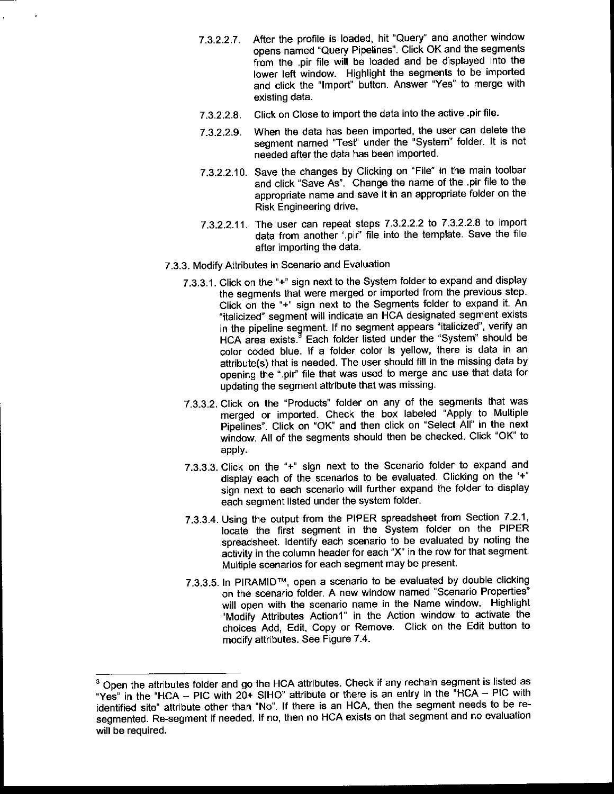- 7.3.2.2.7. After the profile is loaded, hit "Query" and another window opens named "Query Pipelines". Click OK and the segments from the .pir file will be loaded and be displayed into the lower left window. Highlight the segments to be imported and click the "lmport' button. Answer "Yes" to merge with existing data
- 7 .3.2.2.8. Click on Close to import the data into the active .pir file'
- 7.3.2.2.9. When the data has been imported, the user can delete the segment named "Test" under the "System" folder. lt is not needed after the data has been imported.
- 7.3.2.2.10. Save the changes by Clicking on "File" in the main toolbar and click "Save As". Change the name of the pir file to the appropriate name and save it in an appropriate folder on the Risk Engineering drive.
- 7 .3.2.2.11. The user can repeat steps 7 .3.2-2 2 to 7 .3.2 2.8 to import data from another '.pir" file into the template. Save the file after importing the data.
- 7.3.3. Modify Attributes in Scenario and Evaluation
	- 7.3.3.1. Click on the "+" sign next to the System folder to expand and display the segments that were merged or imported from the previous step. Click on the "+" sign next to the Segments folder to expand it. An "italicized" segment will indicate an HCA designated segment exists in the pipeline segment. lf no segment appears "italicized", verify an HCA area exists.<sup>3</sup> Each folder listed under the "System" should be color coded blue. lf a folder color is yellow, there is data in an attribute(s) that is needed. The user should fill in the missing data by opening the ".pir" file that was used to merge and use that data for updating the segment attribute that was missing.
	- 7.3.3.2. Click on the "Products" folder on any of the segments that was merged or imported. Check the box labeled "Apply to Multiple Pipelines". Click on "OK" and then click on "Select All" in the next window. All of the segments should then be checked. Click "OK" to apply.
	- 7.3.3.3. Click on the "+" sign next to the Scenario folder to expand and display each of the scenarios to be evaluated. Clicking on the '+" sign next to each scenario will further expand the folder to display each segment listed under the system folder.
	- 7.3.3.4. Using the output from the PIPER spreadsheet from Section 7.2.1, locate the first segment in the System folder on the PIPER spreadsheet. ldentify each scenario to be evaluated by noting the activity in the column header for each "X" in the row for that segment. Multiple scenarios for each segment may be present.
	- 7.3.3.5. In PIRAMIDTM, open a scenario to be evaluated by double clicking on the scenario folder. A new window named "Scenario Properties" will open with the scenario name in the Name window. Highlight "Modify Attributes Action1" in the Action window to activate the choices Add, Edit, Copy or Remove. Click on the Edit button to modify attributes. See Figure 7.4.

<sup>&</sup>lt;sup>3</sup> Open the attributes folder and go the HCA attributes. Check if any rechain segment is listed as "Yes" in the "HCA - PIC with  $20+$  SIHO" attribute or there is an entry in the "HCA - PIC with identified site" attribute other than "No". lf there is an HCA, then the segment needs to be resegmented. Re-segment if needed. If no, then no HCA exists on that segment and no evaluation will be required.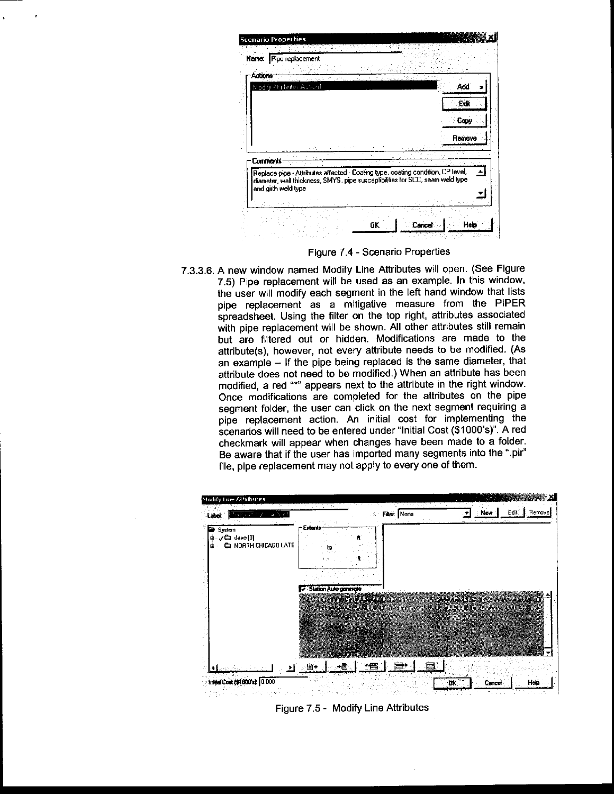| Actions  | Modify Attibules Action I |  |  | Add    |
|----------|---------------------------|--|--|--------|
|          |                           |  |  | Edi    |
|          |                           |  |  | Copy   |
|          |                           |  |  | Remove |
| Comments |                           |  |  |        |

Figure 7.4 - Scenario Properties

7.3.3.6. A new window named Modify Line Attributes will open. (See Figure 7.5) Pipe replacement will be used as an example. In this window' the user will modify each segment in the left hand window that lists pipe replacement as a mitigative measure from the PIPER spreadsheet. Using the filter on the top right, attributes associated with pipe replacement will be shown. All other attributes still remain but are filtered out or hidden. Modifications are made to the attribute(s), however, not every attribute needs to be modified. (As an example - lf the pipe being replaced is the same diameter, that attribute does not need to be modified.) When an attribute has been modified, a red """ appears next to the attribute in the right window. Once modifications are completed for the attributes on the pipe segment folder, the user can click on the next segment requiring a pipe replacement action. An initial cost for implementing the scenarios will need to be entered under "lnitial Cost (\$1000's)". A red checkmark will appear when changes have been made to a folder. Be aware that if the user has imported many segments into the ".pir" file, pipe replacement may not apply to every one of them.



Figure 7.5 - Modify Line Attributes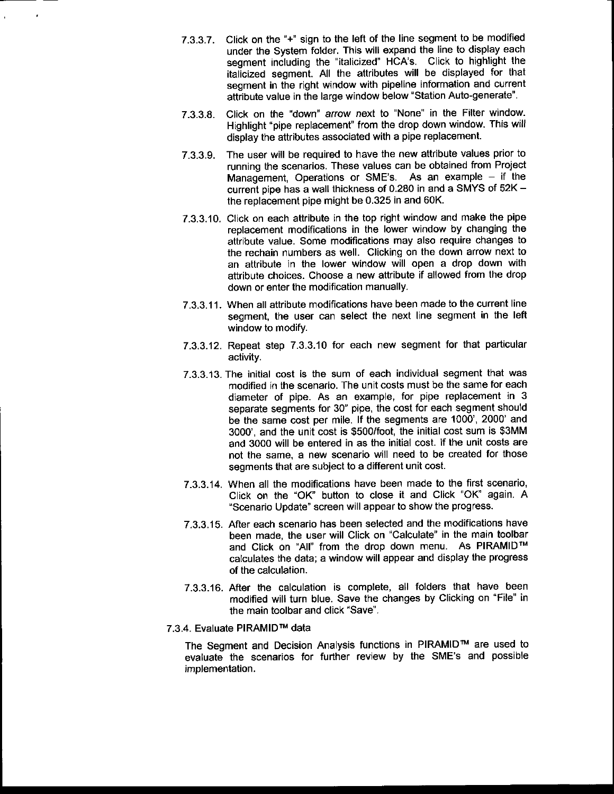- 7.3.3.7. Click on the "+" sign to the left of the line segment to be modified under the System folder. This will expand the line to display each segment including the "italicized" HCA'S. Click to highlight the italicized segment. All the attributes will be displayed for that segment in the right window with pipeline information and current attribute value in the large window below "Station Auto-generate"
- 7.3.3.8. Click on the "down" arrow next to "None" in the Filter window. Highlight "pipe replacement" from the drop down window. This will display the attributes associated with a pipe replacement.
- 7.3.3.9. The user will be required to have the new attribute values prior to running the scenarios. These values can be obtained from Project Management, Operations or SME's. As an example  $-$  if the current pipe has a wall thickness of 0.280 in and a SMYS of 52K the replacement pipe might be 0.325 in and 60K.
- 7.3.3.10. Click on each attribute in the top right window and make the pipe replacement modifications in the lower window by changing the attribute value. Some modifications may also require changes to the rechain numbers as well. Clicking on the down arrow next to an attribute in the lower window will open a drop down with attribute choices. Choose a new attribute if allowed from the drop down or enter the modification manually.
- 7.3.3.11. When all attribute modifications have been made to the current line segment, the user can select the next line segment in the left window to modify.
- 7.3.3.12. Repeat step 7.3.3.10 for each new segment for that particular activity.
- 7.3.3.13. The initial cost is the sum of each individual segment that was modified in the scenario. The unit costs must be the same for each diameter of pipe. As an example, for pipe replacement in 3 separate segments for 30" pipe, the cost for each segment should be the same cost per mile. lf the segments are 1000', 2000' and 3000', and the unit cost is \$500/foot, the initial cost sum is \$3MM and 3000 will be entered in as the initial cost. lf the unit costs are not the same, a new scenario will need to be created for those segments that are subject to a different unit cost.
- 7.3.3.14. When all the modifications have been made to the first scenario, Click on the "OK" button to close it and Click "OK" again. A .Scenario Update" screen will appear to show the progress.
- 7.3.3.15. After each scenario has been selected and the modifications have been made, the user will Click on "Calculate" in the main toolbar and Click on "All" from the drop down menu. As PIRAMIDTM calculates the data; a window will appear and display the progress of the calculation.
- 7.3.3.16. After the calculation is complete, all folders that have been modified will turn blue. Save the changes by Clicking on "File" in the main toolbar and click 'Save".

#### 7.3.4. Evaluate PIRAMIDTM data

The Segment and Decision Analysis functions in PIRAMID™ are used to evaluate the scenarios for further review by the SME'S and possible implementation.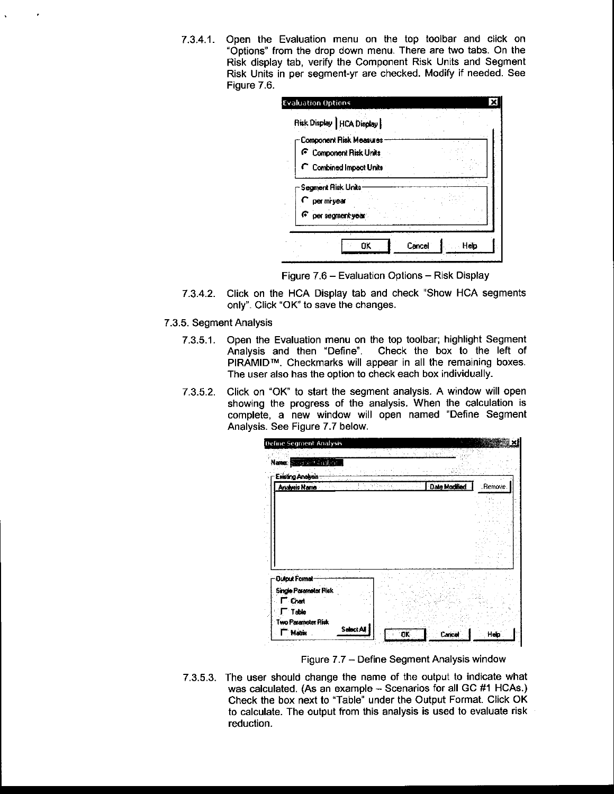7.3.4.1. Open the Evaluation menu on the top toolbar and click on "Options" from the drop down menu. There are two tabs. On the Risk display tab, verify the Component Risk Units and Segment Risk Units in per segment-yr are checked. Modify if needed. See Figure 7.6.

| Risk Display   HCA Display                               |  |
|----------------------------------------------------------|--|
| Component Risk Measures<br><b>F</b> Component Risk Units |  |
| C Combined Impact Units                                  |  |
| <b>Segment Risk Units</b>                                |  |
| per mi year                                              |  |
| F<br>per segment year.                                   |  |

Figure 7.6 - Evaluation Options - Risk Display

- 7.3.4.2. Click on the HCA Display tab and check "Show HCA segments only". Click "OK" to save the changes.
- 7.3.5. Segment Analysis
	- 7.3.5.1. Open the Evaluation menu on the top toolbar; highlight Segment Analysis and then "Define". Check the box to the left of PIRAMID™. Checkmarks will appear in all the remaining boxes. The user also has the option to check each box individually.
	- 7.3.5.2. Click on "OK" to start the segment analysis. A window will open showing the progress of the analysis. When the calculation is complete, a new window will open named "Define Segment Analysis. See Figure 7.7 below.

| Define Segment Analysis                           |               |          |
|---------------------------------------------------|---------------|----------|
| Name: Course Challenge                            |               |          |
| Ewisting Analysis<br>Analysis Name                | Date Modified | :Remove. |
|                                                   |               |          |
|                                                   |               |          |
| <b>Output Format</b>                              |               |          |
| <b>Single Parameter Risk</b><br><sup>-</sup> Chat |               |          |
|                                                   |               |          |
| <sup>-</sup> Table<br>Two Parameter Risk          |               |          |

Figure 7.7 - Define Segment Analysis window

7.3.5.3. The user should change the name of the output to indicate what was calculated. (As an example - Scenarios for all GC #1 HCAs.) Check the box next to "Table" under the Output Format. Click OK to calculate. The output from this analysis is used to evaluate risk reduction.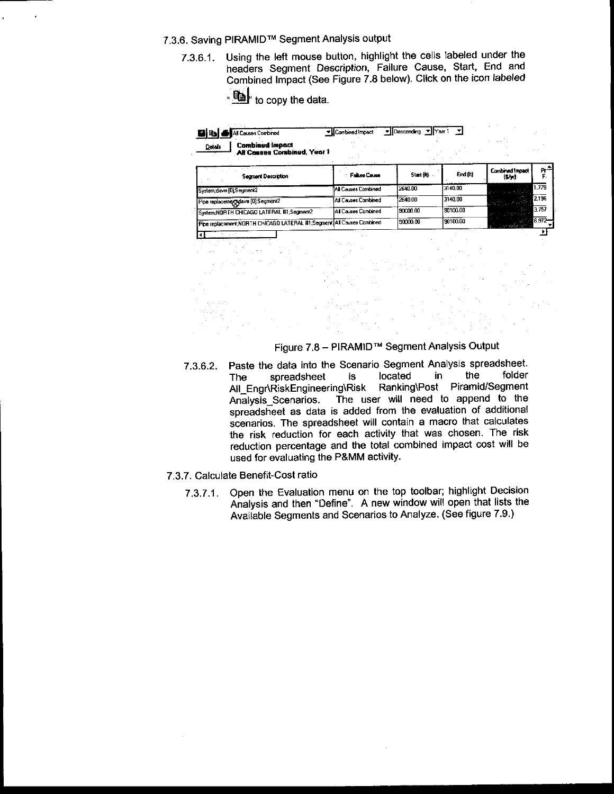#### 7.3.6. Saving PIRAMIDTM Segment Analysis output

- 7.3.6.1. Using the left mouse button, highlight the cells labeled under the headers Segment Description, Failure Cause, Start, End and Combined lmpaci (See Figure 7.8 below). Click on the icon labeled
	- ା\$| to copy the data.

| <b>E B &amp; Al Causes Combined</b>                          | → LCombined Impact | ▼ Dascanding ▼ Year1 |  |  |
|--------------------------------------------------------------|--------------------|----------------------|--|--|
| <b>Detais</b> Combined Impact<br>All Couses Combined, Year 1 |                    |                      |  |  |

| <b>Segment Description</b>                                            | <b>Failure Cause</b>       | Start (R) | <b>End [it]</b> | Combined Impact<br>15/yrl | $R^+$     |
|-----------------------------------------------------------------------|----------------------------|-----------|-----------------|---------------------------|-----------|
| System.dave [D] Segment2                                              | All Causes Combined        | 2640.00   | 3140.00         | termine and the second    | 1.779     |
| Pipa replacement dave [0];Segment2                                    | <b>All Causes Combined</b> | 2640.00   | 3140.00         | 25.27                     | 2136      |
| System:NORTH CHICAGO LATERAL #1 Segment2                              | All Causes Combined        | 90000.00  | 90100.00        |                           | 3.757     |
| Pipe replacement NORTH CHICAGO LATERAL #1 Segment All Causes Combined |                            | 90000.00  | 90100.00        |                           | $6.972 -$ |
|                                                                       |                            |           |                 | <b>C. Longe Company</b>   |           |



- 7.3.6.2. Paste the data into the Scenario Segment Analysis spreadsheet.<br>The spreadsheet is located in the folder spreadsheet is located in the folder<br>RiskEngineering\Risk Ranking\Post Piramid/Segment All\_Engr\RiskEngineering\Risk<br>Analysis Scenarios. The us The user will need to append to the spreadsheet as data is added from the evaluation of additional scenarios. The spreadsheet will contain a macro that calculates the risk reduction for each activity that was chosen. The risk reduction percentage and the total combined impact cost will be used for evaluating the P&MM activity.
- 7.3.7. Calculate Benefit-Cost ratio
	- 7.3.7.1. Open the Evaluation menu on the top toolbar; highlight Decision Analysis and then "Define". A new window will open that lists the Available Segments and Scenarios to Analyze. (See figure 7.9 )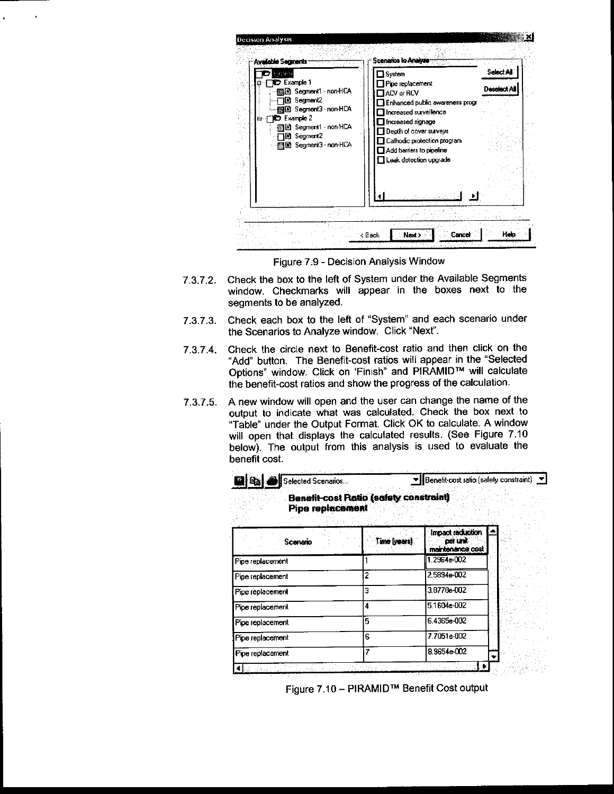| <b>Decision Analysis</b><br>Available Segments<br>Sattem<br><b>D</b> Example 1<br><b>露目 Segment1 non+HCA</b><br>D Segment2<br>關国 Segment3 non-HCA<br>Example 2<br>ė<br>Юz<br>目 Segment1 non-HCA<br>图 Segment2<br>图 Segment3 non-HCA | Scenarios lo Analyzo<br>∃System<br>Pipe replacement<br>$\mathbf 1$ ACV or $\mathsf{RCV}$<br>Enhanced public awareness progr<br>Increased surveillence<br>□ Increased signage<br>$\Box$ Depth of cover surveys<br>Cathodic protection program<br>$\Box$ Add barriers to pipeline<br>$\Box$ Leak detection upgrade | <b>Select All</b><br>Deonia |
|-------------------------------------------------------------------------------------------------------------------------------------------------------------------------------------------------------------------------------------|------------------------------------------------------------------------------------------------------------------------------------------------------------------------------------------------------------------------------------------------------------------------------------------------------------------|-----------------------------|
|                                                                                                                                                                                                                                     | Next ><br>k Back                                                                                                                                                                                                                                                                                                 | Heir                        |

Figure 7.9 - Decision Analysis Window

 $\ddot{\phantom{a}}$ 

 $\epsilon$ 

- Check the box to the left of System under the Available Segments  $7.3.7.2.$ window. Checkmarks will appear in the boxes next to the segments to be analyzed.
- Check each box to the left of "System" and each scenario under  $7.3.7.3.$ the Scenarios to Analyze window. Click "Next".
- Check the circle next to Benefit-cost ratio and then click on the 7374 "Add" button. The Benefit-cost ratios will appear in the "Selected Options" window. Click on 'Finish" and PIRAMID™ will calculate the benefit-cost ratios and show the progress of the calculation.
- A new window will open and the user can change the name of the 7375 output to indicate what was calculated. Check the box next to "Table" under the Output Format. Click OK to calculate. A window will open that displays the calculated results. (See Figure 7.10 below). The output from this analysis is used to evaluate the benefit cost.

| <b>E</b> &<br>Selected Scenanos |                                               | Benefit cost ratio (safety constraint) _ ▼              |  |
|---------------------------------|-----------------------------------------------|---------------------------------------------------------|--|
| <b>Pipe replacement</b>         | <b>Benefit-cost Ratio (safety constraint)</b> |                                                         |  |
| Scenario                        | Time (years)                                  | Impact raduction<br><b>DOI UNIT</b><br>maintenance cost |  |
| Pipe replacement                |                                               | 1.2964e-002                                             |  |
| Pipe replacement                | 2                                             | 2.5894e-002                                             |  |
| Pipe replacement                | 3                                             | 3.8778e-002                                             |  |
| Pipe replacement                | 4                                             | 5.1604e 002                                             |  |
| Pipe replacement                | 5                                             | 6 4365e-002                                             |  |
| Pipe replacement                | 8                                             | 7.7051e-002                                             |  |
| Pipe replacement                | 7                                             | 8.9654e-002                                             |  |
|                                 |                                               |                                                         |  |

Figure 7.10 - PIRAMID™ Benefit Cost output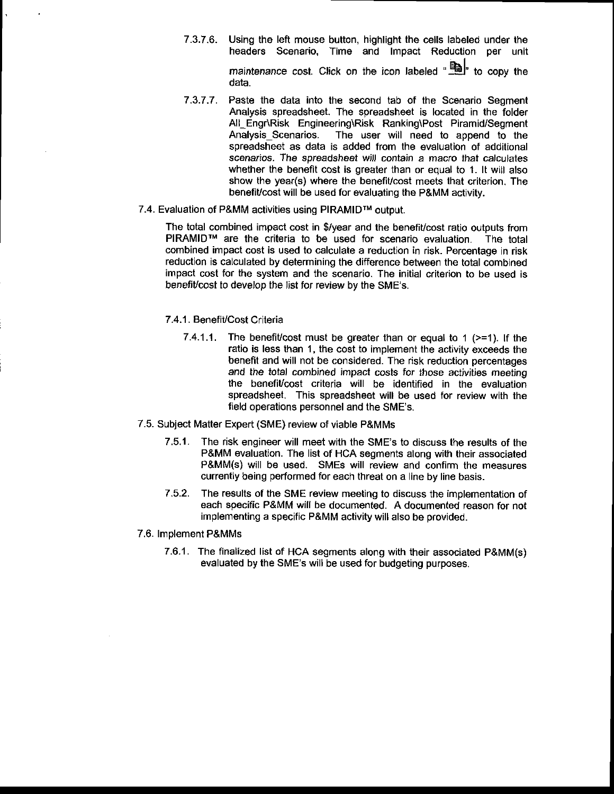- 7.3.7.6. Using the left mouse button, highlight the cells labeled under the headers Scenario, Time and lmpact Reduction per unit maintenance cost. Click on the icon labeled  $\mathbb{B}$  to copy the data.
- 7.3.7.7. Paste the data into the second tab of the Scenario Segment Analysis spreadsheet. The spreadsheet is located in the folder All\_Engr\Risk Engineering\Risk Ranking\Post Piramid/Segment Analysis Scenarios. The user will need to append to the spreadsheet as data is added from the evaluation of additional scenarios. The spreadsheet will contain a macro that calculates whether the benefit cost is greater than or equal to 1. It will also show the year(s) where the benefit/cost meets that criterion. The benefit/cost will be used for evaluating the P&MM activity.
- 7.4. Evaluation of P&MM activities using PIRAMIDTM output.

The total combined impact cost in \$/year and the benefit/cost ratio outputs from PIRAMIDTM are the criteria to be used for scenario evaluation. The total combined impact cost is used to calculate a reduction in risk. Percentage in risk reduction is calculated by determining the difference between the total combined impact cost for the system and the scenario. The initial criterion to be used is benefit/cost to develop the list for review by the SME's.

#### 7.4.1. Benefit/Cost Criteria

- 7.4.1.1. The benefit cost must be greater than or equal to 1 ( $>1$ ). If the ratio is less than 1, the cost to implement the activity exceeds the benefit and will not be considered. The risk reduction percentages and the total combined impact costs for those activities meeting the benefit/cost criteria will be identified in the evaluation spreadsheet. This spreadsheet will be used for review with the field operations personnel and the SME's.
- 7.5. Subject Matter Expert (SME) review of viable P&MMS
	- 7.5.1. The risk engineer will meet with the SME's to discuss the results of the P&MM evaluation. The list of HCA segments along with their associated P&MM(s) will be used. SMES will review and confirm the measures currently being performed for each threat on a line by line basis.
	- 7.5.2. The results of the SME review meeting to discuss the implementation of each specific P&MM will be documented. A documented reason for not implementing a specific P&MM activity will also be provided.

#### 7.6. Implement P&MMs

7.6.1. The finalized list of HCA segments along with their associated P&MM(s) evaluated by the SME'S will be used for budgeting purposes.